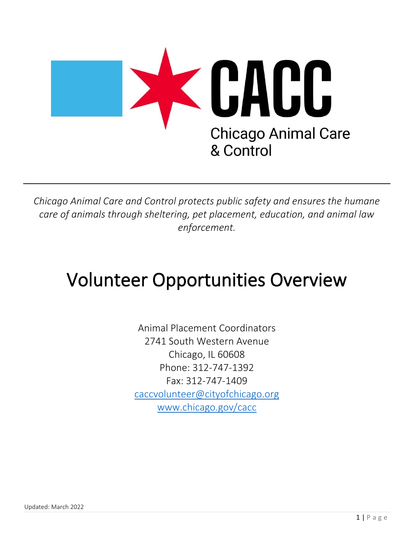

*Chicago Animal Care and Control protects public safety and ensures the humane care of animals through sheltering, pet placement, education, and animal law enforcement.* 

# Volunteer Opportunities Overview

Animal Placement Coordinators 2741 South Western Avenue Chicago, IL 60608 Phone: 312-747-1392 Fax: 312-747-1409 caccvolunteer@cityofchicago.org www.chicago.gov/cacc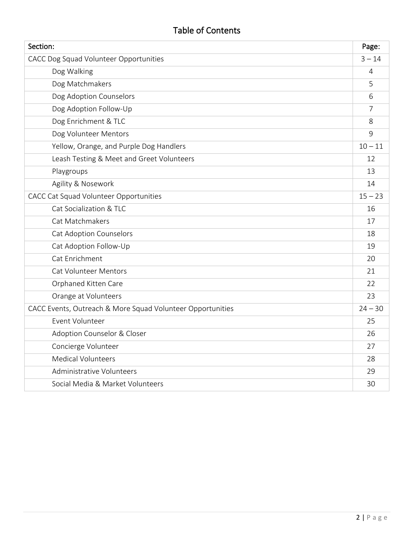# Table of Contents

| Section:                                                   | Page:          |
|------------------------------------------------------------|----------------|
| CACC Dog Squad Volunteer Opportunities                     | $3 - 14$       |
| Dog Walking                                                | $\overline{4}$ |
| Dog Matchmakers                                            | 5              |
| Dog Adoption Counselors                                    | 6              |
| Dog Adoption Follow-Up                                     | 7              |
| Dog Enrichment & TLC                                       | 8              |
| Dog Volunteer Mentors                                      | 9              |
| Yellow, Orange, and Purple Dog Handlers                    | $10 - 11$      |
| Leash Testing & Meet and Greet Volunteers                  | 12             |
| Playgroups                                                 | 13             |
| Agility & Nosework                                         | 14             |
| CACC Cat Squad Volunteer Opportunities                     | $15 - 23$      |
| Cat Socialization & TLC                                    | 16             |
| Cat Matchmakers                                            | 17             |
| <b>Cat Adoption Counselors</b>                             | 18             |
| Cat Adoption Follow-Up                                     | 19             |
| Cat Enrichment                                             | 20             |
| <b>Cat Volunteer Mentors</b>                               | 21             |
| Orphaned Kitten Care                                       | 22             |
| Orange at Volunteers                                       | 23             |
| CACC Events, Outreach & More Squad Volunteer Opportunities | $24 - 30$      |
| Event Volunteer                                            | 25             |
| Adoption Counselor & Closer                                | 26             |
| Concierge Volunteer                                        | 27             |
| <b>Medical Volunteers</b>                                  | 28             |
| Administrative Volunteers                                  | 29             |
| Social Media & Market Volunteers                           | 30             |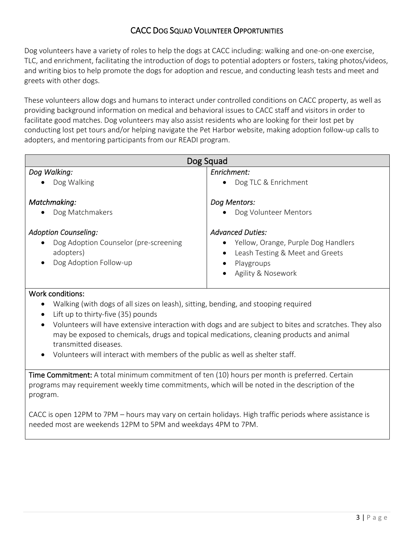## CACC DOG SQUAD VOLUNTEER OPPORTUNITIES

Dog volunteers have a variety of roles to help the dogs at CACC including: walking and one-on-one exercise, TLC, and enrichment, facilitating the introduction of dogs to potential adopters or fosters, taking photos/videos, and writing bios to help promote the dogs for adoption and rescue, and conducting leash tests and meet and greets with other dogs.

These volunteers allow dogs and humans to interact under controlled conditions on CACC property, as well as providing background information on medical and behavioral issues to CACC staff and visitors in order to facilitate good matches. Dog volunteers may also assist residents who are looking for their lost pet by conducting lost pet tours and/or helping navigate the Pet Harbor website, making adoption follow-up calls to adopters, and mentoring participants from our READI program.

| Dog Squad                                          |                                     |  |
|----------------------------------------------------|-------------------------------------|--|
| Dog Walking:                                       | Enrichment:                         |  |
| Dog Walking<br>$\bullet$                           | Dog TLC & Enrichment                |  |
| Matchmaking:                                       | Dog Mentors:                        |  |
| Dog Matchmakers<br>$\bullet$                       | Dog Volunteer Mentors               |  |
| <b>Adoption Counseling:</b>                        | <b>Advanced Duties:</b>             |  |
| Dog Adoption Counselor (pre-screening<br>$\bullet$ | Yellow, Orange, Purple Dog Handlers |  |
| adopters)                                          | Leash Testing & Meet and Greets     |  |
| Dog Adoption Follow-up<br>$\bullet$                | Playgroups                          |  |
|                                                    | Agility & Nosework                  |  |

#### Work conditions:

- Walking (with dogs of all sizes on leash), sitting, bending, and stooping required
- Lift up to thirty-five (35) pounds
- Volunteers will have extensive interaction with dogs and are subject to bites and scratches. They also may be exposed to chemicals, drugs and topical medications, cleaning products and animal transmitted diseases.
- Volunteers will interact with members of the public as well as shelter staff.

Time Commitment: A total minimum commitment of ten (10) hours per month is preferred. Certain programs may requirement weekly time commitments, which will be noted in the description of the program.

CACC is open 12PM to 7PM – hours may vary on certain holidays. High traffic periods where assistance is needed most are weekends 12PM to 5PM and weekdays 4PM to 7PM.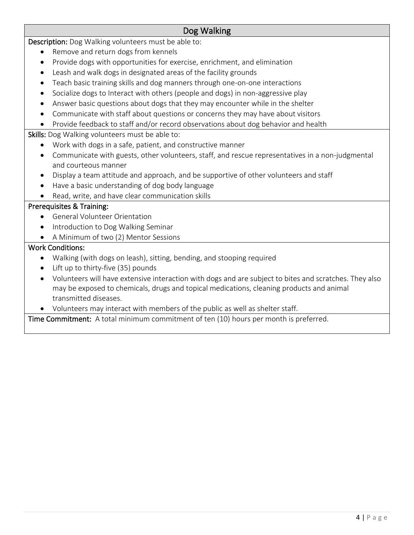## Dog Walking

Description: Dog Walking volunteers must be able to:

- Remove and return dogs from kennels
- Provide dogs with opportunities for exercise, enrichment, and elimination
- Leash and walk dogs in designated areas of the facility grounds
- Teach basic training skills and dog manners through one-on-one interactions
- Socialize dogs to Interact with others (people and dogs) in non-aggressive play
- Answer basic questions about dogs that they may encounter while in the shelter
- Communicate with staff about questions or concerns they may have about visitors
- Provide feedback to staff and/or record observations about dog behavior and health

Skills: Dog Walking volunteers must be able to:

- Work with dogs in a safe, patient, and constructive manner
- Communicate with guests, other volunteers, staff, and rescue representatives in a non-judgmental and courteous manner
- Display a team attitude and approach, and be supportive of other volunteers and staff
- Have a basic understanding of dog body language
- Read, write, and have clear communication skills

#### Prerequisites & Training:

- General Volunteer Orientation
- Introduction to Dog Walking Seminar
- A Minimum of two (2) Mentor Sessions

#### Work Conditions:

- Walking (with dogs on leash), sitting, bending, and stooping required
- Lift up to thirty-five (35) pounds
- Volunteers will have extensive interaction with dogs and are subject to bites and scratches. They also may be exposed to chemicals, drugs and topical medications, cleaning products and animal transmitted diseases.
- Volunteers may interact with members of the public as well as shelter staff.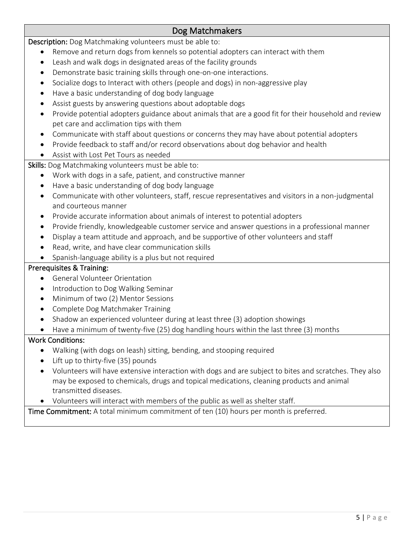## Dog Matchmakers

Description: Dog Matchmaking volunteers must be able to:

- Remove and return dogs from kennels so potential adopters can interact with them
- Leash and walk dogs in designated areas of the facility grounds
- Demonstrate basic training skills through one-on-one interactions.
- Socialize dogs to Interact with others (people and dogs) in non-aggressive play
- Have a basic understanding of dog body language
- Assist guests by answering questions about adoptable dogs
- Provide potential adopters guidance about animals that are a good fit for their household and review pet care and acclimation tips with them
- Communicate with staff about questions or concerns they may have about potential adopters
- Provide feedback to staff and/or record observations about dog behavior and health
- Assist with Lost Pet Tours as needed

Skills: Dog Matchmaking volunteers must be able to:

- Work with dogs in a safe, patient, and constructive manner
- Have a basic understanding of dog body language
- Communicate with other volunteers, staff, rescue representatives and visitors in a non-judgmental and courteous manner
- Provide accurate information about animals of interest to potential adopters
- Provide friendly, knowledgeable customer service and answer questions in a professional manner
- Display a team attitude and approach, and be supportive of other volunteers and staff
- Read, write, and have clear communication skills
- Spanish-language ability is a plus but not required

#### Prerequisites & Training:

- General Volunteer Orientation
- Introduction to Dog Walking Seminar
- Minimum of two (2) Mentor Sessions
- Complete Dog Matchmaker Training
- Shadow an experienced volunteer during at least three (3) adoption showings
- Have a minimum of twenty-five (25) dog handling hours within the last three (3) months

#### Work Conditions:

- Walking (with dogs on leash) sitting, bending, and stooping required
- Lift up to thirty-five (35) pounds
- Volunteers will have extensive interaction with dogs and are subject to bites and scratches. They also may be exposed to chemicals, drugs and topical medications, cleaning products and animal transmitted diseases.
- Volunteers will interact with members of the public as well as shelter staff.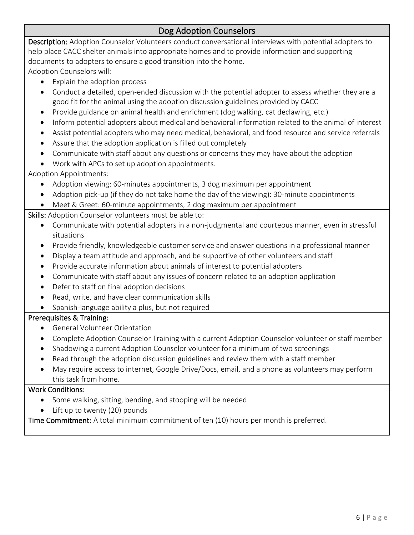## Dog Adoption Counselors

Description: Adoption Counselor Volunteers conduct conversational interviews with potential adopters to help place CACC shelter animals into appropriate homes and to provide information and supporting documents to adopters to ensure a good transition into the home.

Adoption Counselors will:

- Explain the adoption process
- Conduct a detailed, open-ended discussion with the potential adopter to assess whether they are a good fit for the animal using the adoption discussion guidelines provided by CACC
- Provide guidance on animal health and enrichment (dog walking, cat declawing, etc.)
- Inform potential adopters about medical and behavioral information related to the animal of interest
- Assist potential adopters who may need medical, behavioral, and food resource and service referrals
- Assure that the adoption application is filled out completely
- Communicate with staff about any questions or concerns they may have about the adoption
- Work with APCs to set up adoption appointments.

Adoption Appointments:

- Adoption viewing: 60-minutes appointments, 3 dog maximum per appointment
- Adoption pick-up (if they do not take home the day of the viewing): 30-minute appointments
- Meet & Greet: 60-minute appointments, 2 dog maximum per appointment

Skills: Adoption Counselor volunteers must be able to:

- Communicate with potential adopters in a non-judgmental and courteous manner, even in stressful situations
- Provide friendly, knowledgeable customer service and answer questions in a professional manner
- Display a team attitude and approach, and be supportive of other volunteers and staff
- Provide accurate information about animals of interest to potential adopters
- Communicate with staff about any issues of concern related to an adoption application
- Defer to staff on final adoption decisions
- Read, write, and have clear communication skills
- Spanish-language ability a plus, but not required

#### Prerequisites & Training:

- General Volunteer Orientation
- Complete Adoption Counselor Training with a current Adoption Counselor volunteer or staff member
- Shadowing a current Adoption Counselor volunteer for a minimum of two screenings
- Read through the adoption discussion guidelines and review them with a staff member
- May require access to internet, Google Drive/Docs, email, and a phone as volunteers may perform this task from home.

#### Work Conditions:

- Some walking, sitting, bending, and stooping will be needed
- Lift up to twenty (20) pounds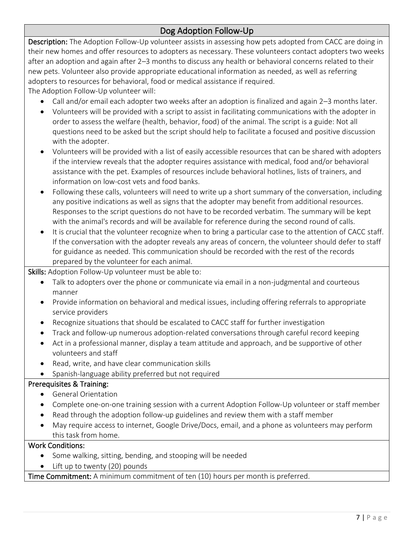# Dog Adoption Follow-Up

Description: The Adoption Follow-Up volunteer assists in assessing how pets adopted from CACC are doing in their new homes and offer resources to adopters as necessary. These volunteers contact adopters two weeks after an adoption and again after 2–3 months to discuss any health or behavioral concerns related to their new pets. Volunteer also provide appropriate educational information as needed, as well as referring adopters to resources for behavioral, food or medical assistance if required.

The Adoption Follow-Up volunteer will:

- Call and/or email each adopter two weeks after an adoption is finalized and again 2–3 months later.
- Volunteers will be provided with a script to assist in facilitating communications with the adopter in order to assess the welfare (health, behavior, food) of the animal. The script is a guide: Not all questions need to be asked but the script should help to facilitate a focused and positive discussion with the adopter.
- Volunteers will be provided with a list of easily accessible resources that can be shared with adopters if the interview reveals that the adopter requires assistance with medical, food and/or behavioral assistance with the pet. Examples of resources include behavioral hotlines, lists of trainers, and information on low-cost vets and food banks.
- Following these calls, volunteers will need to write up a short summary of the conversation, including any positive indications as well as signs that the adopter may benefit from additional resources. Responses to the script questions do not have to be recorded verbatim. The summary will be kept with the animal's records and will be available for reference during the second round of calls.
- It is crucial that the volunteer recognize when to bring a particular case to the attention of CACC staff. If the conversation with the adopter reveals any areas of concern, the volunteer should defer to staff for guidance as needed. This communication should be recorded with the rest of the records prepared by the volunteer for each animal.

Skills: Adoption Follow-Up volunteer must be able to:

- Talk to adopters over the phone or communicate via email in a non-judgmental and courteous manner
- Provide information on behavioral and medical issues, including offering referrals to appropriate service providers
- Recognize situations that should be escalated to CACC staff for further investigation
- Track and follow-up numerous adoption-related conversations through careful record keeping
- Act in a professional manner, display a team attitude and approach, and be supportive of other volunteers and staff
- Read, write, and have clear communication skills
- Spanish-language ability preferred but not required

#### Prerequisites & Training:

- General Orientation
- Complete one-on-one training session with a current Adoption Follow-Up volunteer or staff member
- Read through the adoption follow-up guidelines and review them with a staff member
- May require access to internet, Google Drive/Docs, email, and a phone as volunteers may perform this task from home.

#### Work Conditions:

- Some walking, sitting, bending, and stooping will be needed
- Lift up to twenty (20) pounds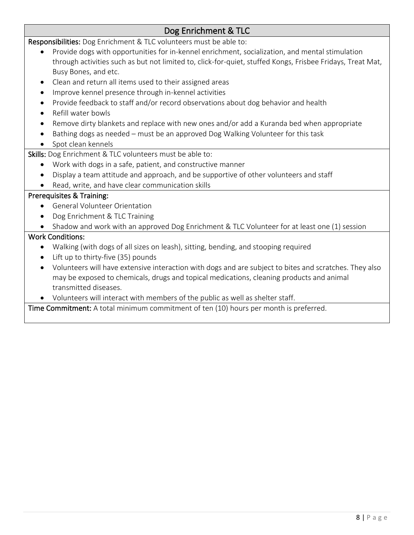# Dog Enrichment & TLC

Responsibilities: Dog Enrichment & TLC volunteers must be able to:

- Provide dogs with opportunities for in-kennel enrichment, socialization, and mental stimulation through activities such as but not limited to, click-for-quiet, stuffed Kongs, Frisbee Fridays, Treat Mat, Busy Bones, and etc.
- Clean and return all items used to their assigned areas
- Improve kennel presence through in-kennel activities
- Provide feedback to staff and/or record observations about dog behavior and health
- Refill water bowls
- Remove dirty blankets and replace with new ones and/or add a Kuranda bed when appropriate
- Bathing dogs as needed must be an approved Dog Walking Volunteer for this task
- Spot clean kennels

Skills: Dog Enrichment & TLC volunteers must be able to:

- Work with dogs in a safe, patient, and constructive manner
- Display a team attitude and approach, and be supportive of other volunteers and staff
- Read, write, and have clear communication skills

#### Prerequisites & Training:

- General Volunteer Orientation
- Dog Enrichment & TLC Training
- Shadow and work with an approved Dog Enrichment & TLC Volunteer for at least one (1) session

#### Work Conditions:

- Walking (with dogs of all sizes on leash), sitting, bending, and stooping required
- Lift up to thirty-five (35) pounds
- Volunteers will have extensive interaction with dogs and are subject to bites and scratches. They also may be exposed to chemicals, drugs and topical medications, cleaning products and animal transmitted diseases.
- Volunteers will interact with members of the public as well as shelter staff.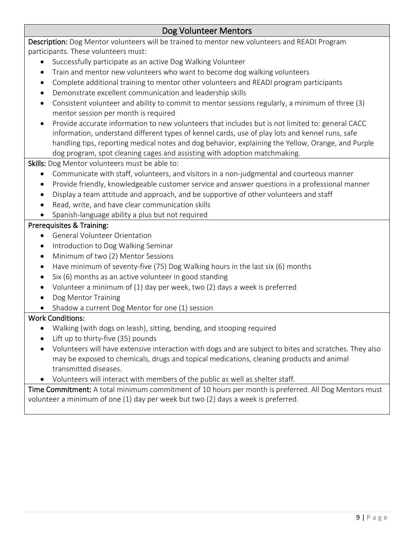## Dog Volunteer Mentors

Description: Dog Mentor volunteers will be trained to mentor new volunteers and READI Program participants. These volunteers must:

- Successfully participate as an active Dog Walking Volunteer
- Train and mentor new volunteers who want to become dog walking volunteers
- Complete additional training to mentor other volunteers and READI program participants
- Demonstrate excellent communication and leadership skills
- Consistent volunteer and ability to commit to mentor sessions regularly, a minimum of three (3) mentor session per month is required
- Provide accurate information to new volunteers that includes but is not limited to: general CACC information, understand different types of kennel cards, use of play lots and kennel runs, safe handling tips, reporting medical notes and dog behavior, explaining the Yellow, Orange, and Purple dog program, spot cleaning cages and assisting with adoption matchmaking.

Skills: Dog Mentor volunteers must be able to:

- Communicate with staff, volunteers, and visitors in a non-judgmental and courteous manner
- Provide friendly, knowledgeable customer service and answer questions in a professional manner
- Display a team attitude and approach, and be supportive of other volunteers and staff
- Read, write, and have clear communication skills
- Spanish-language ability a plus but not required

#### Prerequisites & Training:

- General Volunteer Orientation
- Introduction to Dog Walking Seminar
- Minimum of two (2) Mentor Sessions
- Have minimum of seventy-five (75) Dog Walking hours in the last six (6) months
- Six (6) months as an active volunteer in good standing
- Volunteer a minimum of (1) day per week, two (2) days a week is preferred
- Dog Mentor Training
- Shadow a current Dog Mentor for one (1) session

#### Work Conditions:

- Walking (with dogs on leash), sitting, bending, and stooping required
- Lift up to thirty-five (35) pounds
- Volunteers will have extensive interaction with dogs and are subject to bites and scratches. They also may be exposed to chemicals, drugs and topical medications, cleaning products and animal transmitted diseases.
- Volunteers will interact with members of the public as well as shelter staff.

Time Commitment: A total minimum commitment of 10 hours per month is preferred. All Dog Mentors must volunteer a minimum of one (1) day per week but two (2) days a week is preferred.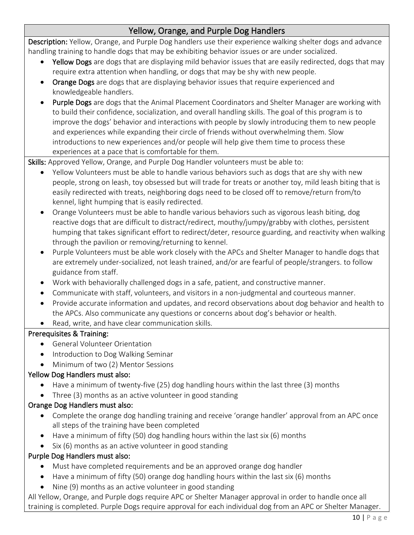# Yellow, Orange, and Purple Dog Handlers

Description: Yellow, Orange, and Purple Dog handlers use their experience walking shelter dogs and advance handling training to handle dogs that may be exhibiting behavior issues or are under socialized.

- Yellow Dogs are dogs that are displaying mild behavior issues that are easily redirected, dogs that may require extra attention when handling, or dogs that may be shy with new people.
- Orange Dogs are dogs that are displaying behavior issues that require experienced and knowledgeable handlers.
- Purple Dogs are dogs that the Animal Placement Coordinators and Shelter Manager are working with to build their confidence, socialization, and overall handling skills. The goal of this program is to improve the dogs' behavior and interactions with people by slowly introducing them to new people and experiences while expanding their circle of friends without overwhelming them. Slow introductions to new experiences and/or people will help give them time to process these experiences at a pace that is comfortable for them.

Skills: Approved Yellow, Orange, and Purple Dog Handler volunteers must be able to:

- Yellow Volunteers must be able to handle various behaviors such as dogs that are shy with new people, strong on leash, toy obsessed but will trade for treats or another toy, mild leash biting that is easily redirected with treats, neighboring dogs need to be closed off to remove/return from/to kennel, light humping that is easily redirected.
- Orange Volunteers must be able to handle various behaviors such as vigorous leash biting, dog reactive dogs that are difficult to distract/redirect, mouthy/jumpy/grabby with clothes, persistent humping that takes significant effort to redirect/deter, resource guarding, and reactivity when walking through the pavilion or removing/returning to kennel.
- Purple Volunteers must be able work closely with the APCs and Shelter Manager to handle dogs that are extremely under-socialized, not leash trained, and/or are fearful of people/strangers. to follow guidance from staff.
- Work with behaviorally challenged dogs in a safe, patient, and constructive manner.
- Communicate with staff, volunteers, and visitors in a non-judgmental and courteous manner.
- Provide accurate information and updates, and record observations about dog behavior and health to the APCs. Also communicate any questions or concerns about dog's behavior or health.
- Read, write, and have clear communication skills.

#### Prerequisites & Training:

- General Volunteer Orientation
- Introduction to Dog Walking Seminar
- Minimum of two (2) Mentor Sessions

#### Yellow Dog Handlers must also:

- Have a minimum of twenty-five (25) dog handling hours within the last three (3) months
- Three (3) months as an active volunteer in good standing

#### Orange Dog Handlers must also:

- Complete the orange dog handling training and receive 'orange handler' approval from an APC once all steps of the training have been completed
- Have a minimum of fifty (50) dog handling hours within the last six (6) months
- Six (6) months as an active volunteer in good standing

## Purple Dog Handlers must also:

- Must have completed requirements and be an approved orange dog handler
- Have a minimum of fifty (50) orange dog handling hours within the last six (6) months
- Nine (9) months as an active volunteer in good standing

All Yellow, Orange, and Purple dogs require APC or Shelter Manager approval in order to handle once all training is completed. Purple Dogs require approval for each individual dog from an APC or Shelter Manager.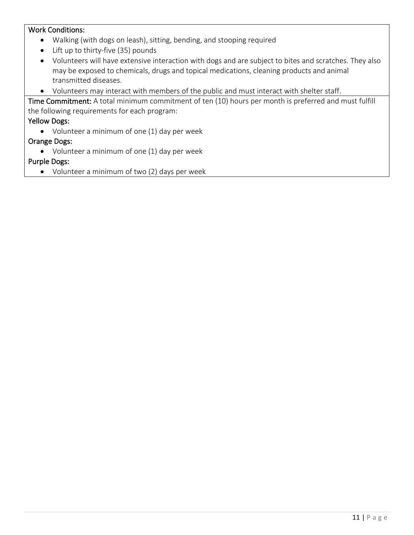#### Work Conditions:

- Walking (with dogs on leash), sitting, bending, and stooping required
- Lift up to thirty-five (35) pounds
- Volunteers will have extensive interaction with dogs and are subject to bites and scratches. They also may be exposed to chemicals, drugs and topical medications, cleaning products and animal transmitted diseases.
- Volunteers may interact with members of the public and must interact with shelter staff.

Time Commitment: A total minimum commitment of ten (10) hours per month is preferred and must fulfill the following requirements for each program:

#### Yellow Dogs:

• Volunteer a minimum of one (1) day per week

#### Orange Dogs:

• Volunteer a minimum of one (1) day per week

#### Purple Dogs:

• Volunteer a minimum of two (2) days per week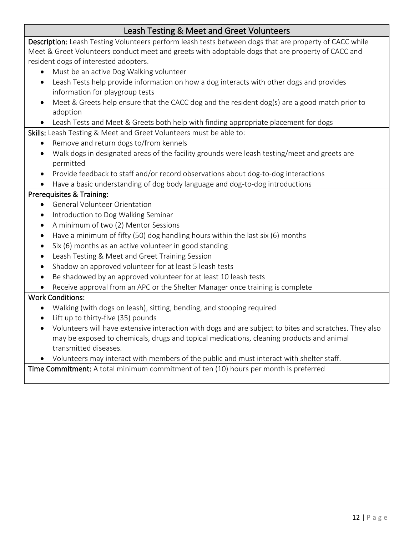## Leash Testing & Meet and Greet Volunteers

Description: Leash Testing Volunteers perform leash tests between dogs that are property of CACC while Meet & Greet Volunteers conduct meet and greets with adoptable dogs that are property of CACC and resident dogs of interested adopters.

- Must be an active Dog Walking volunteer
- Leash Tests help provide information on how a dog interacts with other dogs and provides information for playgroup tests
- Meet & Greets help ensure that the CACC dog and the resident dog(s) are a good match prior to adoption
- Leash Tests and Meet & Greets both help with finding appropriate placement for dogs

Skills: Leash Testing & Meet and Greet Volunteers must be able to:

- Remove and return dogs to/from kennels
- Walk dogs in designated areas of the facility grounds were leash testing/meet and greets are permitted
- Provide feedback to staff and/or record observations about dog-to-dog interactions
- Have a basic understanding of dog body language and dog-to-dog introductions

#### Prerequisites & Training:

- General Volunteer Orientation
- Introduction to Dog Walking Seminar
- A minimum of two (2) Mentor Sessions
- Have a minimum of fifty (50) dog handling hours within the last six (6) months
- Six (6) months as an active volunteer in good standing
- Leash Testing & Meet and Greet Training Session
- Shadow an approved volunteer for at least 5 leash tests
- Be shadowed by an approved volunteer for at least 10 leash tests
- Receive approval from an APC or the Shelter Manager once training is complete

#### Work Conditions:

- Walking (with dogs on leash), sitting, bending, and stooping required
- Lift up to thirty-five (35) pounds
- Volunteers will have extensive interaction with dogs and are subject to bites and scratches. They also may be exposed to chemicals, drugs and topical medications, cleaning products and animal transmitted diseases.
- Volunteers may interact with members of the public and must interact with shelter staff.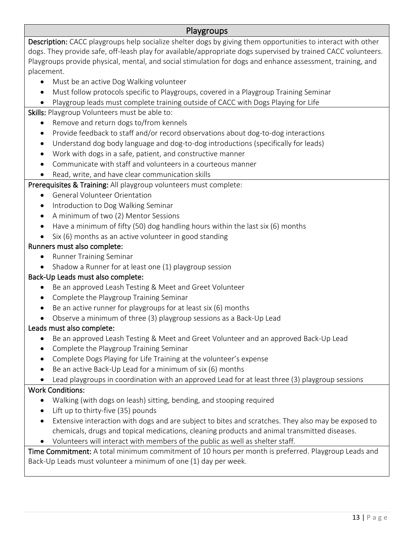#### Playgroups

Description: CACC playgroups help socialize shelter dogs by giving them opportunities to interact with other dogs. They provide safe, off-leash play for available/appropriate dogs supervised by trained CACC volunteers. Playgroups provide physical, mental, and social stimulation for dogs and enhance assessment, training, and placement.

- Must be an active Dog Walking volunteer
- Must follow protocols specific to Playgroups, covered in a Playgroup Training Seminar
- Playgroup leads must complete training outside of CACC with Dogs Playing for Life

#### Skills: Playgroup Volunteers must be able to:

- Remove and return dogs to/from kennels
- Provide feedback to staff and/or record observations about dog-to-dog interactions
- Understand dog body language and dog-to-dog introductions (specifically for leads)
- Work with dogs in a safe, patient, and constructive manner
- Communicate with staff and volunteers in a courteous manner
- Read, write, and have clear communication skills

#### Prerequisites & Training: All playgroup volunteers must complete:

- General Volunteer Orientation
- Introduction to Dog Walking Seminar
- A minimum of two (2) Mentor Sessions
- Have a minimum of fifty (50) dog handling hours within the last six (6) months
- Six (6) months as an active volunteer in good standing

#### Runners must also complete:

- Runner Training Seminar
- Shadow a Runner for at least one (1) playgroup session

#### Back-Up Leads must also complete:

- Be an approved Leash Testing & Meet and Greet Volunteer
- Complete the Playgroup Training Seminar
- Be an active runner for playgroups for at least six (6) months
- Observe a minimum of three (3) playgroup sessions as a Back-Up Lead

#### Leads must also complete:

- Be an approved Leash Testing & Meet and Greet Volunteer and an approved Back-Up Lead
- Complete the Playgroup Training Seminar
- Complete Dogs Playing for Life Training at the volunteer's expense
- Be an active Back-Up Lead for a minimum of six (6) months
- Lead playgroups in coordination with an approved Lead for at least three (3) playgroup sessions

#### Work Conditions:

- Walking (with dogs on leash) sitting, bending, and stooping required
- Lift up to thirty-five (35) pounds
- Extensive interaction with dogs and are subject to bites and scratches. They also may be exposed to chemicals, drugs and topical medications, cleaning products and animal transmitted diseases.
- Volunteers will interact with members of the public as well as shelter staff.

Time Commitment: A total minimum commitment of 10 hours per month is preferred. Playgroup Leads and Back-Up Leads must volunteer a minimum of one (1) day per week.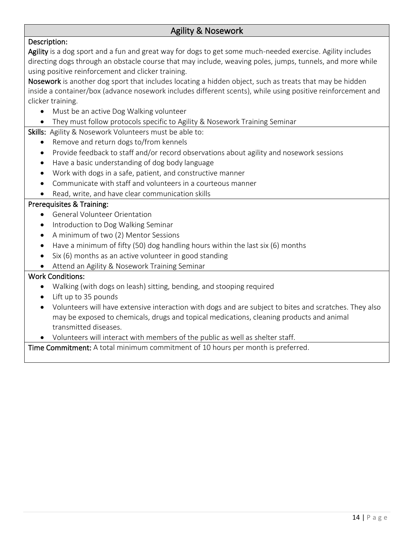# Agility & Nosework

#### Description:

Agility is a dog sport and a fun and great way for dogs to get some much-needed exercise. Agility includes directing dogs through an obstacle course that may include, weaving poles, jumps, tunnels, and more while using positive reinforcement and clicker training.

Nosework is another dog sport that includes locating a hidden object, such as treats that may be hidden inside a container/box (advance nosework includes different scents), while using positive reinforcement and clicker training.

• Must be an active Dog Walking volunteer

#### • They must follow protocols specific to Agility & Nosework Training Seminar

- Skills: Agility & Nosework Volunteers must be able to:
	- Remove and return dogs to/from kennels
	- Provide feedback to staff and/or record observations about agility and nosework sessions
	- Have a basic understanding of dog body language
	- Work with dogs in a safe, patient, and constructive manner
	- Communicate with staff and volunteers in a courteous manner
	- Read, write, and have clear communication skills

#### Prerequisites & Training:

- General Volunteer Orientation
- Introduction to Dog Walking Seminar
- A minimum of two (2) Mentor Sessions
- Have a minimum of fifty (50) dog handling hours within the last six (6) months
- Six (6) months as an active volunteer in good standing
- Attend an Agility & Nosework Training Seminar

#### Work Conditions:

- Walking (with dogs on leash) sitting, bending, and stooping required
- Lift up to 35 pounds
- Volunteers will have extensive interaction with dogs and are subject to bites and scratches. They also may be exposed to chemicals, drugs and topical medications, cleaning products and animal transmitted diseases.
- Volunteers will interact with members of the public as well as shelter staff.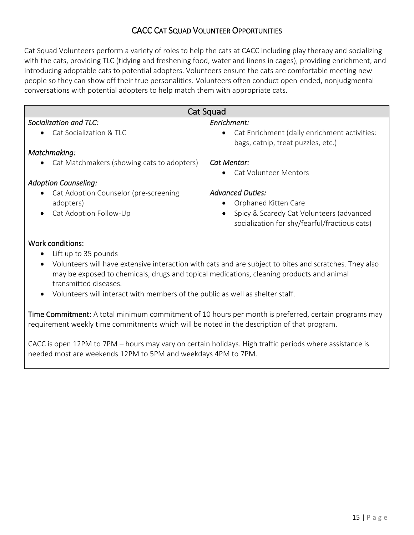## CACC CAT SQUAD VOLUNTEER OPPORTUNITIES

Cat Squad Volunteers perform a variety of roles to help the cats at CACC including play therapy and socializing with the cats, providing TLC (tidying and freshening food, water and linens in cages), providing enrichment, and introducing adoptable cats to potential adopters. Volunteers ensure the cats are comfortable meeting new people so they can show off their true personalities. Volunteers often conduct open-ended, nonjudgmental conversations with potential adopters to help match them with appropriate cats.

| Cat Squad                                               |                                                                                           |  |
|---------------------------------------------------------|-------------------------------------------------------------------------------------------|--|
| Socialization and TLC:                                  | Enrichment:                                                                               |  |
| Cat Socialization & TLC<br>$\bullet$                    | Cat Enrichment (daily enrichment activities:<br>$\bullet$                                 |  |
|                                                         | bags, catnip, treat puzzles, etc.)                                                        |  |
| Matchmaking:                                            |                                                                                           |  |
| Cat Matchmakers (showing cats to adopters)<br>$\bullet$ | Cat Mentor:                                                                               |  |
|                                                         | <b>Cat Volunteer Mentors</b>                                                              |  |
| <b>Adoption Counseling:</b>                             |                                                                                           |  |
| Cat Adoption Counselor (pre-screening<br>$\bullet$      | <b>Advanced Duties:</b>                                                                   |  |
| adopters)                                               | Orphaned Kitten Care                                                                      |  |
| Cat Adoption Follow-Up<br>$\bullet$                     | Spicy & Scaredy Cat Volunteers (advanced<br>socialization for shy/fearful/fractious cats) |  |

#### Work conditions:

- Lift up to 35 pounds
- Volunteers will have extensive interaction with cats and are subject to bites and scratches. They also may be exposed to chemicals, drugs and topical medications, cleaning products and animal transmitted diseases.
- Volunteers will interact with members of the public as well as shelter staff.

Time Commitment: A total minimum commitment of 10 hours per month is preferred, certain programs may requirement weekly time commitments which will be noted in the description of that program.

CACC is open 12PM to 7PM – hours may vary on certain holidays. High traffic periods where assistance is needed most are weekends 12PM to 5PM and weekdays 4PM to 7PM.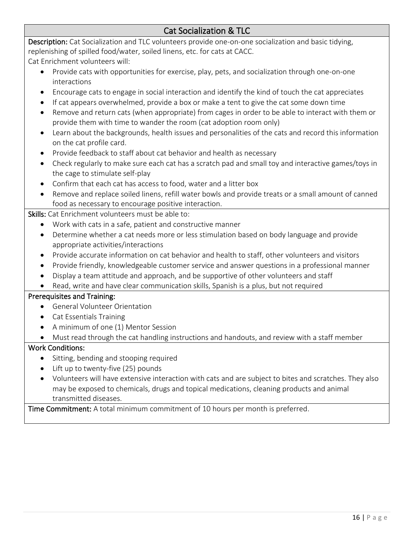# Cat Socialization & TLC

Description: Cat Socialization and TLC volunteers provide one-on-one socialization and basic tidying, replenishing of spilled food/water, soiled linens, etc. for cats at CACC.

Cat Enrichment volunteers will:

- Provide cats with opportunities for exercise, play, pets, and socialization through one-on-one interactions
- Encourage cats to engage in social interaction and identify the kind of touch the cat appreciates
- If cat appears overwhelmed, provide a box or make a tent to give the cat some down time
- Remove and return cats (when appropriate) from cages in order to be able to interact with them or provide them with time to wander the room (cat adoption room only)
- Learn about the backgrounds, health issues and personalities of the cats and record this information on the cat profile card.
- Provide feedback to staff about cat behavior and health as necessary
- Check regularly to make sure each cat has a scratch pad and small toy and interactive games/toys in the cage to stimulate self-play
- Confirm that each cat has access to food, water and a litter box
- Remove and replace soiled linens, refill water bowls and provide treats or a small amount of canned food as necessary to encourage positive interaction.

Skills: Cat Enrichment volunteers must be able to:

- Work with cats in a safe, patient and constructive manner
- Determine whether a cat needs more or less stimulation based on body language and provide appropriate activities/interactions
- Provide accurate information on cat behavior and health to staff, other volunteers and visitors
- Provide friendly, knowledgeable customer service and answer questions in a professional manner
- Display a team attitude and approach, and be supportive of other volunteers and staff
- Read, write and have clear communication skills, Spanish is a plus, but not required

#### Prerequisites and Training:

- General Volunteer Orientation
- Cat Essentials Training
- A minimum of one (1) Mentor Session
- Must read through the cat handling instructions and handouts, and review with a staff member

#### Work Conditions:

- Sitting, bending and stooping required
- Lift up to twenty-five (25) pounds
- Volunteers will have extensive interaction with cats and are subject to bites and scratches. They also may be exposed to chemicals, drugs and topical medications, cleaning products and animal transmitted diseases.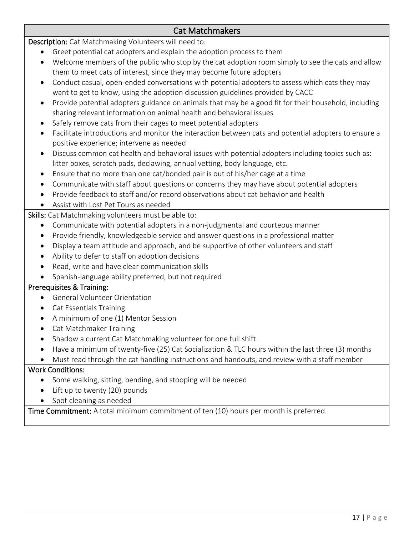## Cat Matchmakers

Description: Cat Matchmaking Volunteers will need to:

- Greet potential cat adopters and explain the adoption process to them
- Welcome members of the public who stop by the cat adoption room simply to see the cats and allow them to meet cats of interest, since they may become future adopters
- Conduct casual, open-ended conversations with potential adopters to assess which cats they may want to get to know, using the adoption discussion guidelines provided by CACC
- Provide potential adopters guidance on animals that may be a good fit for their household, including sharing relevant information on animal health and behavioral issues
- Safely remove cats from their cages to meet potential adopters
- Facilitate introductions and monitor the interaction between cats and potential adopters to ensure a positive experience; intervene as needed
- Discuss common cat health and behavioral issues with potential adopters including topics such as: litter boxes, scratch pads, declawing, annual vetting, body language, etc.
- Ensure that no more than one cat/bonded pair is out of his/her cage at a time
- Communicate with staff about questions or concerns they may have about potential adopters
- Provide feedback to staff and/or record observations about cat behavior and health
- Assist with Lost Pet Tours as needed

Skills: Cat Matchmaking volunteers must be able to:

- Communicate with potential adopters in a non-judgmental and courteous manner
- Provide friendly, knowledgeable service and answer questions in a professional matter
- Display a team attitude and approach, and be supportive of other volunteers and staff
- Ability to defer to staff on adoption decisions
- Read, write and have clear communication skills

• Spanish-language ability preferred, but not required

#### Prerequisites & Training:

- General Volunteer Orientation
- Cat Essentials Training
- A minimum of one (1) Mentor Session
- Cat Matchmaker Training
- Shadow a current Cat Matchmaking volunteer for one full shift.
- Have a minimum of twenty-five (25) Cat Socialization & TLC hours within the last three (3) months
- Must read through the cat handling instructions and handouts, and review with a staff member

#### Work Conditions:

- Some walking, sitting, bending, and stooping will be needed
- Lift up to twenty (20) pounds
- Spot cleaning as needed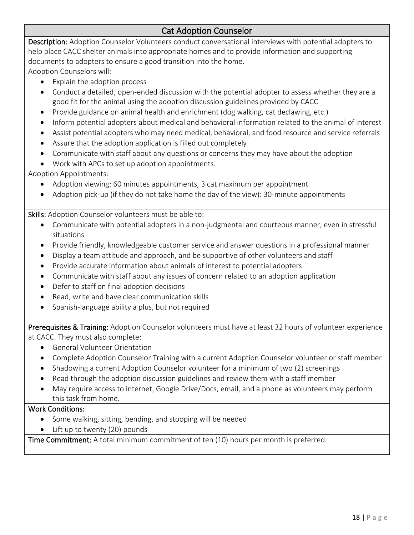## Cat Adoption Counselor

Description: Adoption Counselor Volunteers conduct conversational interviews with potential adopters to help place CACC shelter animals into appropriate homes and to provide information and supporting documents to adopters to ensure a good transition into the home.

Adoption Counselors will:

- Explain the adoption process
- Conduct a detailed, open-ended discussion with the potential adopter to assess whether they are a good fit for the animal using the adoption discussion guidelines provided by CACC
- Provide guidance on animal health and enrichment (dog walking, cat declawing, etc.)
- Inform potential adopters about medical and behavioral information related to the animal of interest
- Assist potential adopters who may need medical, behavioral, and food resource and service referrals
- Assure that the adoption application is filled out completely
- Communicate with staff about any questions or concerns they may have about the adoption
- Work with APCs to set up adoption appointments.

Adoption Appointments:

- Adoption viewing: 60 minutes appointments, 3 cat maximum per appointment
- Adoption pick-up (if they do not take home the day of the view): 30-minute appointments

Skills: Adoption Counselor volunteers must be able to:

- Communicate with potential adopters in a non-judgmental and courteous manner, even in stressful situations
- Provide friendly, knowledgeable customer service and answer questions in a professional manner
- Display a team attitude and approach, and be supportive of other volunteers and staff
- Provide accurate information about animals of interest to potential adopters
- Communicate with staff about any issues of concern related to an adoption application
- Defer to staff on final adoption decisions
- Read, write and have clear communication skills
- Spanish-language ability a plus, but not required

Prerequisites & Training: Adoption Counselor volunteers must have at least 32 hours of volunteer experience at CACC. They must also complete:

- General Volunteer Orientation
- Complete Adoption Counselor Training with a current Adoption Counselor volunteer or staff member
- Shadowing a current Adoption Counselor volunteer for a minimum of two (2) screenings
- Read through the adoption discussion guidelines and review them with a staff member
- May require access to internet, Google Drive/Docs, email, and a phone as volunteers may perform this task from home.

#### Work Conditions:

- Some walking, sitting, bending, and stooping will be needed
- Lift up to twenty (20) pounds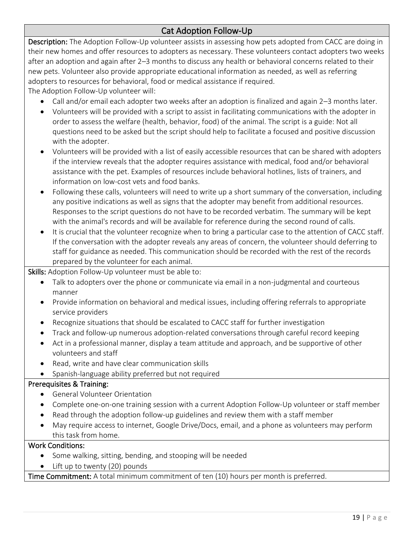# Cat Adoption Follow-Up

Description: The Adoption Follow-Up volunteer assists in assessing how pets adopted from CACC are doing in their new homes and offer resources to adopters as necessary. These volunteers contact adopters two weeks after an adoption and again after 2–3 months to discuss any health or behavioral concerns related to their new pets. Volunteer also provide appropriate educational information as needed, as well as referring adopters to resources for behavioral, food or medical assistance if required.

The Adoption Follow-Up volunteer will:

- Call and/or email each adopter two weeks after an adoption is finalized and again 2–3 months later.
- Volunteers will be provided with a script to assist in facilitating communications with the adopter in order to assess the welfare (health, behavior, food) of the animal. The script is a guide: Not all questions need to be asked but the script should help to facilitate a focused and positive discussion with the adopter.
- Volunteers will be provided with a list of easily accessible resources that can be shared with adopters if the interview reveals that the adopter requires assistance with medical, food and/or behavioral assistance with the pet. Examples of resources include behavioral hotlines, lists of trainers, and information on low-cost vets and food banks.
- Following these calls, volunteers will need to write up a short summary of the conversation, including any positive indications as well as signs that the adopter may benefit from additional resources. Responses to the script questions do not have to be recorded verbatim. The summary will be kept with the animal's records and will be available for reference during the second round of calls.
- It is crucial that the volunteer recognize when to bring a particular case to the attention of CACC staff. If the conversation with the adopter reveals any areas of concern, the volunteer should deferring to staff for guidance as needed. This communication should be recorded with the rest of the records prepared by the volunteer for each animal.

Skills: Adoption Follow-Up volunteer must be able to:

- Talk to adopters over the phone or communicate via email in a non-judgmental and courteous manner
- Provide information on behavioral and medical issues, including offering referrals to appropriate service providers
- Recognize situations that should be escalated to CACC staff for further investigation
- Track and follow-up numerous adoption-related conversations through careful record keeping
- Act in a professional manner, display a team attitude and approach, and be supportive of other volunteers and staff
- Read, write and have clear communication skills
- Spanish-language ability preferred but not required

#### Prerequisites & Training:

- General Volunteer Orientation
- Complete one-on-one training session with a current Adoption Follow-Up volunteer or staff member
- Read through the adoption follow-up guidelines and review them with a staff member
- May require access to internet, Google Drive/Docs, email, and a phone as volunteers may perform this task from home.

#### Work Conditions:

- Some walking, sitting, bending, and stooping will be needed
- Lift up to twenty (20) pounds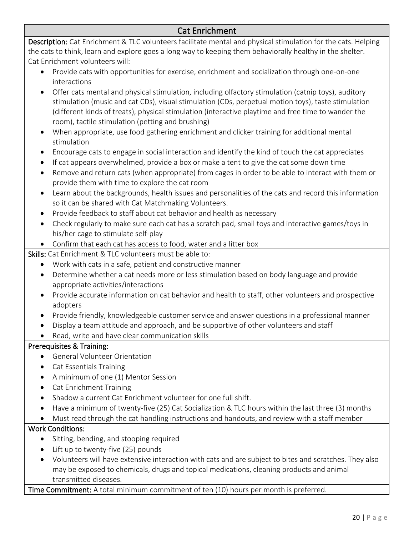## Cat Enrichment

Description: Cat Enrichment & TLC volunteers facilitate mental and physical stimulation for the cats. Helping the cats to think, learn and explore goes a long way to keeping them behaviorally healthy in the shelter. Cat Enrichment volunteers will:

- Provide cats with opportunities for exercise, enrichment and socialization through one-on-one interactions
- Offer cats mental and physical stimulation, including olfactory stimulation (catnip toys), auditory stimulation (music and cat CDs), visual stimulation (CDs, perpetual motion toys), taste stimulation (different kinds of treats), physical stimulation (interactive playtime and free time to wander the room), tactile stimulation (petting and brushing)
- When appropriate, use food gathering enrichment and clicker training for additional mental stimulation
- Encourage cats to engage in social interaction and identify the kind of touch the cat appreciates
- If cat appears overwhelmed, provide a box or make a tent to give the cat some down time
- Remove and return cats (when appropriate) from cages in order to be able to interact with them or provide them with time to explore the cat room
- Learn about the backgrounds, health issues and personalities of the cats and record this information so it can be shared with Cat Matchmaking Volunteers.
- Provide feedback to staff about cat behavior and health as necessary
- Check regularly to make sure each cat has a scratch pad, small toys and interactive games/toys in his/her cage to stimulate self-play
- Confirm that each cat has access to food, water and a litter box

Skills: Cat Enrichment & TLC volunteers must be able to:

- Work with cats in a safe, patient and constructive manner
- Determine whether a cat needs more or less stimulation based on body language and provide appropriate activities/interactions
- Provide accurate information on cat behavior and health to staff, other volunteers and prospective adopters
- Provide friendly, knowledgeable customer service and answer questions in a professional manner
- Display a team attitude and approach, and be supportive of other volunteers and staff
- Read, write and have clear communication skills

#### Prerequisites & Training:

- General Volunteer Orientation
- Cat Essentials Training
- A minimum of one (1) Mentor Session
- Cat Enrichment Training
- Shadow a current Cat Enrichment volunteer for one full shift.
- Have a minimum of twenty-five (25) Cat Socialization & TLC hours within the last three (3) months
- Must read through the cat handling instructions and handouts, and review with a staff member

#### Work Conditions:

- Sitting, bending, and stooping required
- Lift up to twenty-five (25) pounds
- Volunteers will have extensive interaction with cats and are subject to bites and scratches. They also may be exposed to chemicals, drugs and topical medications, cleaning products and animal transmitted diseases.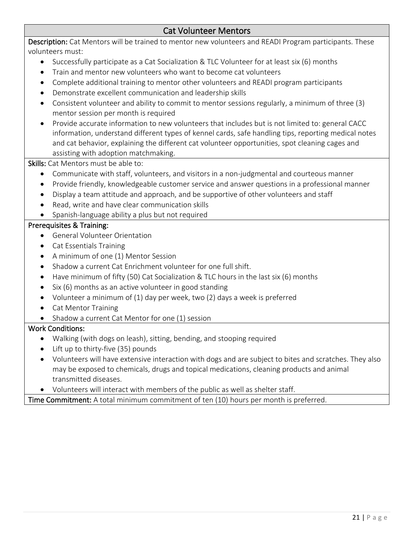## Cat Volunteer Mentors

Description: Cat Mentors will be trained to mentor new volunteers and READI Program participants. These volunteers must:

- Successfully participate as a Cat Socialization & TLC Volunteer for at least six (6) months
- Train and mentor new volunteers who want to become cat volunteers
- Complete additional training to mentor other volunteers and READI program participants
- Demonstrate excellent communication and leadership skills
- Consistent volunteer and ability to commit to mentor sessions regularly, a minimum of three (3) mentor session per month is required
- Provide accurate information to new volunteers that includes but is not limited to: general CACC information, understand different types of kennel cards, safe handling tips, reporting medical notes and cat behavior, explaining the different cat volunteer opportunities, spot cleaning cages and assisting with adoption matchmaking.

Skills: Cat Mentors must be able to:

- Communicate with staff, volunteers, and visitors in a non-judgmental and courteous manner
- Provide friendly, knowledgeable customer service and answer questions in a professional manner
- Display a team attitude and approach, and be supportive of other volunteers and staff
- Read, write and have clear communication skills
- Spanish-language ability a plus but not required

#### Prerequisites & Training:

- General Volunteer Orientation
- Cat Essentials Training
- A minimum of one (1) Mentor Session
- Shadow a current Cat Enrichment volunteer for one full shift.
- Have minimum of fifty (50) Cat Socialization & TLC hours in the last six (6) months
- Six (6) months as an active volunteer in good standing
- Volunteer a minimum of (1) day per week, two (2) days a week is preferred
- Cat Mentor Training
- Shadow a current Cat Mentor for one (1) session

#### Work Conditions:

- Walking (with dogs on leash), sitting, bending, and stooping required
- Lift up to thirty-five (35) pounds
- Volunteers will have extensive interaction with dogs and are subject to bites and scratches. They also may be exposed to chemicals, drugs and topical medications, cleaning products and animal transmitted diseases.
- Volunteers will interact with members of the public as well as shelter staff.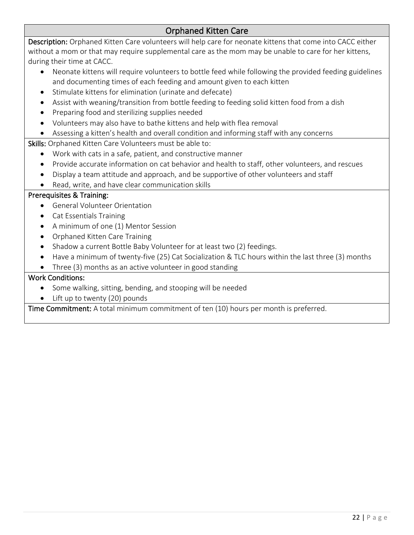# Orphaned Kitten Care

Description: Orphaned Kitten Care volunteers will help care for neonate kittens that come into CACC either without a mom or that may require supplemental care as the mom may be unable to care for her kittens, during their time at CACC.

- Neonate kittens will require volunteers to bottle feed while following the provided feeding guidelines and documenting times of each feeding and amount given to each kitten
- Stimulate kittens for elimination (urinate and defecate)
- Assist with weaning/transition from bottle feeding to feeding solid kitten food from a dish
- Preparing food and sterilizing supplies needed
- Volunteers may also have to bathe kittens and help with flea removal

#### • Assessing a kitten's health and overall condition and informing staff with any concerns

Skills: Orphaned Kitten Care Volunteers must be able to:

- Work with cats in a safe, patient, and constructive manner
- Provide accurate information on cat behavior and health to staff, other volunteers, and rescues
- Display a team attitude and approach, and be supportive of other volunteers and staff
- Read, write, and have clear communication skills

#### Prerequisites & Training:

- General Volunteer Orientation
- Cat Essentials Training
- A minimum of one (1) Mentor Session
- Orphaned Kitten Care Training
- Shadow a current Bottle Baby Volunteer for at least two (2) feedings.
- Have a minimum of twenty-five (25) Cat Socialization & TLC hours within the last three (3) months
- Three (3) months as an active volunteer in good standing

#### Work Conditions:

- Some walking, sitting, bending, and stooping will be needed
- Lift up to twenty (20) pounds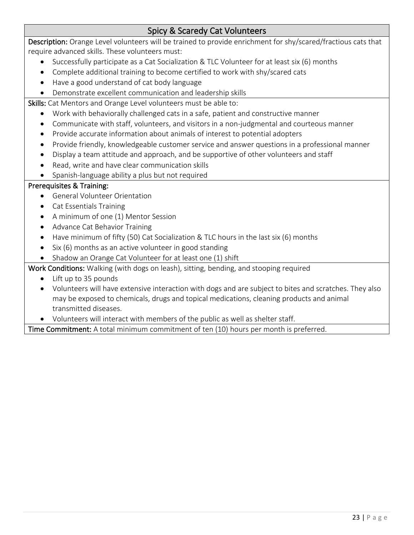# Spicy & Scaredy Cat Volunteers

Description: Orange Level volunteers will be trained to provide enrichment for shy/scared/fractious cats that require advanced skills. These volunteers must:

- Successfully participate as a Cat Socialization & TLC Volunteer for at least six (6) months
- Complete additional training to become certified to work with shy/scared cats
- Have a good understand of cat body language
- Demonstrate excellent communication and leadership skills

Skills: Cat Mentors and Orange Level volunteers must be able to:

- Work with behaviorally challenged cats in a safe, patient and constructive manner
- Communicate with staff, volunteers, and visitors in a non-judgmental and courteous manner
- Provide accurate information about animals of interest to potential adopters
- Provide friendly, knowledgeable customer service and answer questions in a professional manner
- Display a team attitude and approach, and be supportive of other volunteers and staff
- Read, write and have clear communication skills

#### • Spanish-language ability a plus but not required

#### Prerequisites & Training:

- General Volunteer Orientation
- Cat Essentials Training
- A minimum of one (1) Mentor Session
- Advance Cat Behavior Training
- Have minimum of fifty (50) Cat Socialization & TLC hours in the last six (6) months
- Six (6) months as an active volunteer in good standing
- Shadow an Orange Cat Volunteer for at least one (1) shift

Work Conditions: Walking (with dogs on leash), sitting, bending, and stooping required

- Lift up to 35 pounds
- Volunteers will have extensive interaction with dogs and are subject to bites and scratches. They also may be exposed to chemicals, drugs and topical medications, cleaning products and animal transmitted diseases.
- Volunteers will interact with members of the public as well as shelter staff.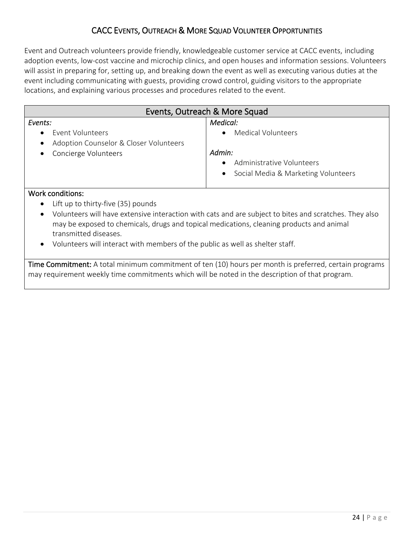## CACC EVENTS, OUTREACH & MORE SQUAD VOLUNTEER OPPORTUNITIES

Event and Outreach volunteers provide friendly, knowledgeable customer service at CACC events, including adoption events, low-cost vaccine and microchip clinics, and open houses and information sessions. Volunteers will assist in preparing for, setting up, and breaking down the event as well as executing various duties at the event including communicating with guests, providing crowd control, guiding visitors to the appropriate locations, and explaining various processes and procedures related to the event.

| Events, Outreach & More Squad                       |                                       |  |
|-----------------------------------------------------|---------------------------------------|--|
| Events:                                             | Medical:                              |  |
| Event Volunteers<br>$\bullet$                       | <b>Medical Volunteers</b>             |  |
| Adoption Counselor & Closer Volunteers<br>$\bullet$ |                                       |  |
| Concierge Volunteers<br>$\bullet$                   | Admin:                                |  |
|                                                     | Administrative Volunteers             |  |
|                                                     | • Social Media & Marketing Volunteers |  |
|                                                     |                                       |  |

#### Work conditions:

- Lift up to thirty-five (35) pounds
- Volunteers will have extensive interaction with cats and are subject to bites and scratches. They also may be exposed to chemicals, drugs and topical medications, cleaning products and animal transmitted diseases.
- Volunteers will interact with members of the public as well as shelter staff.

Time Commitment: A total minimum commitment of ten (10) hours per month is preferred, certain programs may requirement weekly time commitments which will be noted in the description of that program.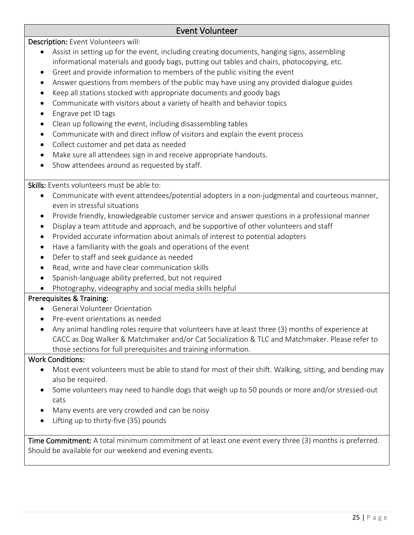## Event Volunteer

Description: Event Volunteers will:

- Assist in setting up for the event, including creating documents, hanging signs, assembling informational materials and goody bags, putting out tables and chairs, photocopying, etc.
- Greet and provide information to members of the public visiting the event
- Answer questions from members of the public may have using any provided dialogue guides
- Keep all stations stocked with appropriate documents and goody bags
- Communicate with visitors about a variety of health and behavior topics
- Engrave pet ID tags
- Clean up following the event, including disassembling tables
- Communicate with and direct inflow of visitors and explain the event process
- Collect customer and pet data as needed
- Make sure all attendees sign in and receive appropriate handouts.
- Show attendees around as requested by staff.

Skills: Events volunteers must be able to:

- Communicate with event attendees/potential adopters in a non-judgmental and courteous manner, even in stressful situations
- Provide friendly, knowledgeable customer service and answer questions in a professional manner
- Display a team attitude and approach, and be supportive of other volunteers and staff
- Provided accurate information about animals of interest to potential adopters
- Have a familiarity with the goals and operations of the event
- Defer to staff and seek guidance as needed
- Read, write and have clear communication skills
- Spanish-language ability preferred, but not required
- Photography, videography and social media skills helpful

#### Prerequisites & Training:

- General Volunteer Orientation
- Pre-event orientations as needed
- Any animal handling roles require that volunteers have at least three (3) months of experience at CACC as Dog Walker & Matchmaker and/or Cat Socialization & TLC and Matchmaker. Please refer to those sections for full prerequisites and training information.

#### Work Conditions:

- Most event volunteers must be able to stand for most of their shift. Walking, sitting, and bending may also be required.
- Some volunteers may need to handle dogs that weigh up to 50 pounds or more and/or stressed-out cats
- Many events are very crowded and can be noisy
- Lifting up to thirty-five (35) pounds

Time Commitment: A total minimum commitment of at least one event every three (3) months is preferred. Should be available for our weekend and evening events.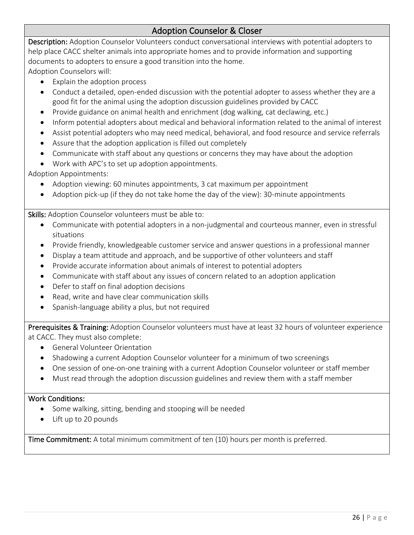## Adoption Counselor & Closer

Description: Adoption Counselor Volunteers conduct conversational interviews with potential adopters to help place CACC shelter animals into appropriate homes and to provide information and supporting documents to adopters to ensure a good transition into the home.

Adoption Counselors will:

- Explain the adoption process
- Conduct a detailed, open-ended discussion with the potential adopter to assess whether they are a good fit for the animal using the adoption discussion guidelines provided by CACC
- Provide guidance on animal health and enrichment (dog walking, cat declawing, etc.)
- Inform potential adopters about medical and behavioral information related to the animal of interest
- Assist potential adopters who may need medical, behavioral, and food resource and service referrals
- Assure that the adoption application is filled out completely
- Communicate with staff about any questions or concerns they may have about the adoption
- Work with APC's to set up adoption appointments.

Adoption Appointments:

- Adoption viewing: 60 minutes appointments, 3 cat maximum per appointment
- Adoption pick-up (if they do not take home the day of the view): 30-minute appointments

Skills: Adoption Counselor volunteers must be able to:

- Communicate with potential adopters in a non-judgmental and courteous manner, even in stressful situations
- Provide friendly, knowledgeable customer service and answer questions in a professional manner
- Display a team attitude and approach, and be supportive of other volunteers and staff
- Provide accurate information about animals of interest to potential adopters
- Communicate with staff about any issues of concern related to an adoption application
- Defer to staff on final adoption decisions
- Read, write and have clear communication skills
- Spanish-language ability a plus, but not required

Prerequisites & Training: Adoption Counselor volunteers must have at least 32 hours of volunteer experience at CACC. They must also complete:

- General Volunteer Orientation
- Shadowing a current Adoption Counselor volunteer for a minimum of two screenings
- One session of one-on-one training with a current Adoption Counselor volunteer or staff member
- Must read through the adoption discussion guidelines and review them with a staff member

#### Work Conditions:

- Some walking, sitting, bending and stooping will be needed
- Lift up to 20 pounds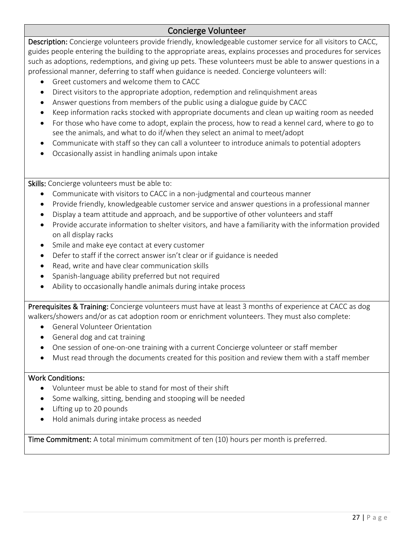## Concierge Volunteer

Description: Concierge volunteers provide friendly, knowledgeable customer service for all visitors to CACC, guides people entering the building to the appropriate areas, explains processes and procedures for services such as adoptions, redemptions, and giving up pets. These volunteers must be able to answer questions in a professional manner, deferring to staff when guidance is needed. Concierge volunteers will:

- Greet customers and welcome them to CACC
- Direct visitors to the appropriate adoption, redemption and relinquishment areas
- Answer questions from members of the public using a dialogue guide by CACC
- Keep information racks stocked with appropriate documents and clean up waiting room as needed
- For those who have come to adopt, explain the process, how to read a kennel card, where to go to see the animals, and what to do if/when they select an animal to meet/adopt
- Communicate with staff so they can call a volunteer to introduce animals to potential adopters
- Occasionally assist in handling animals upon intake

Skills: Concierge volunteers must be able to:

- Communicate with visitors to CACC in a non-judgmental and courteous manner
- Provide friendly, knowledgeable customer service and answer questions in a professional manner
- Display a team attitude and approach, and be supportive of other volunteers and staff
- Provide accurate information to shelter visitors, and have a familiarity with the information provided on all display racks
- Smile and make eye contact at every customer
- Defer to staff if the correct answer isn't clear or if guidance is needed
- Read, write and have clear communication skills
- Spanish-language ability preferred but not required
- Ability to occasionally handle animals during intake process

Prerequisites & Training: Concierge volunteers must have at least 3 months of experience at CACC as dog walkers/showers and/or as cat adoption room or enrichment volunteers. They must also complete:

- General Volunteer Orientation
- General dog and cat training
- One session of one-on-one training with a current Concierge volunteer or staff member
- Must read through the documents created for this position and review them with a staff member

#### Work Conditions:

- Volunteer must be able to stand for most of their shift
- Some walking, sitting, bending and stooping will be needed
- Lifting up to 20 pounds
- Hold animals during intake process as needed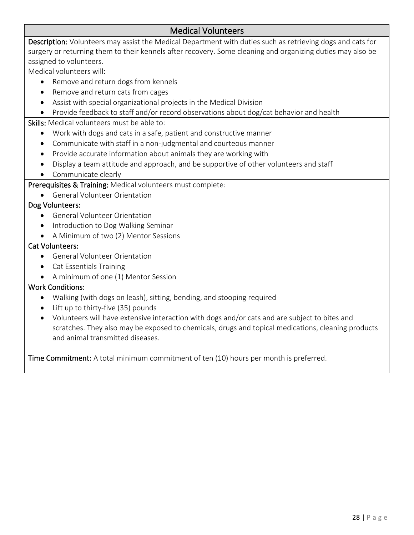## Medical Volunteers

Description: Volunteers may assist the Medical Department with duties such as retrieving dogs and cats for surgery or returning them to their kennels after recovery. Some cleaning and organizing duties may also be assigned to volunteers.

Medical volunteers will:

- Remove and return dogs from kennels
- Remove and return cats from cages
- Assist with special organizational projects in the Medical Division
- Provide feedback to staff and/or record observations about dog/cat behavior and health

Skills: Medical volunteers must be able to:

- Work with dogs and cats in a safe, patient and constructive manner
- Communicate with staff in a non-judgmental and courteous manner
- Provide accurate information about animals they are working with
- Display a team attitude and approach, and be supportive of other volunteers and staff
- Communicate clearly

Prerequisites & Training: Medical volunteers must complete:

• General Volunteer Orientation

#### Dog Volunteers:

- General Volunteer Orientation
- Introduction to Dog Walking Seminar
- A Minimum of two (2) Mentor Sessions

#### Cat Volunteers:

- General Volunteer Orientation
- Cat Essentials Training
- A minimum of one (1) Mentor Session

#### Work Conditions:

- Walking (with dogs on leash), sitting, bending, and stooping required
- Lift up to thirty-five (35) pounds
- Volunteers will have extensive interaction with dogs and/or cats and are subject to bites and scratches. They also may be exposed to chemicals, drugs and topical medications, cleaning products and animal transmitted diseases.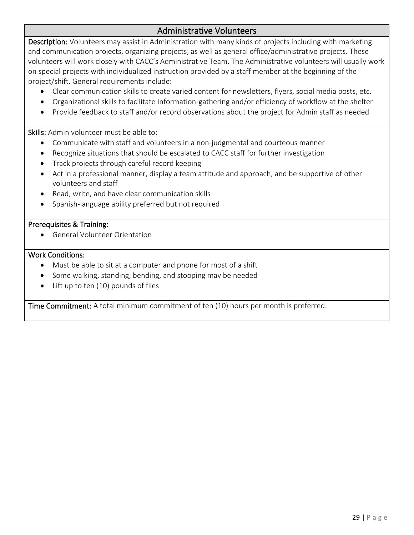## Administrative Volunteers

Description: Volunteers may assist in Administration with many kinds of projects including with marketing and communication projects, organizing projects, as well as general office/administrative projects. These volunteers will work closely with CACC's Administrative Team. The Administrative volunteers will usually work on special projects with individualized instruction provided by a staff member at the beginning of the project/shift. General requirements include:

- Clear communication skills to create varied content for newsletters, flyers, social media posts, etc.
- Organizational skills to facilitate information-gathering and/or efficiency of workflow at the shelter
- Provide feedback to staff and/or record observations about the project for Admin staff as needed

Skills: Admin volunteer must be able to:

- Communicate with staff and volunteers in a non-judgmental and courteous manner
- Recognize situations that should be escalated to CACC staff for further investigation
- Track projects through careful record keeping
- Act in a professional manner, display a team attitude and approach, and be supportive of other volunteers and staff
- Read, write, and have clear communication skills
- Spanish-language ability preferred but not required

#### Prerequisites & Training:

• General Volunteer Orientation

#### Work Conditions:

- Must be able to sit at a computer and phone for most of a shift
- Some walking, standing, bending, and stooping may be needed
- Lift up to ten (10) pounds of files